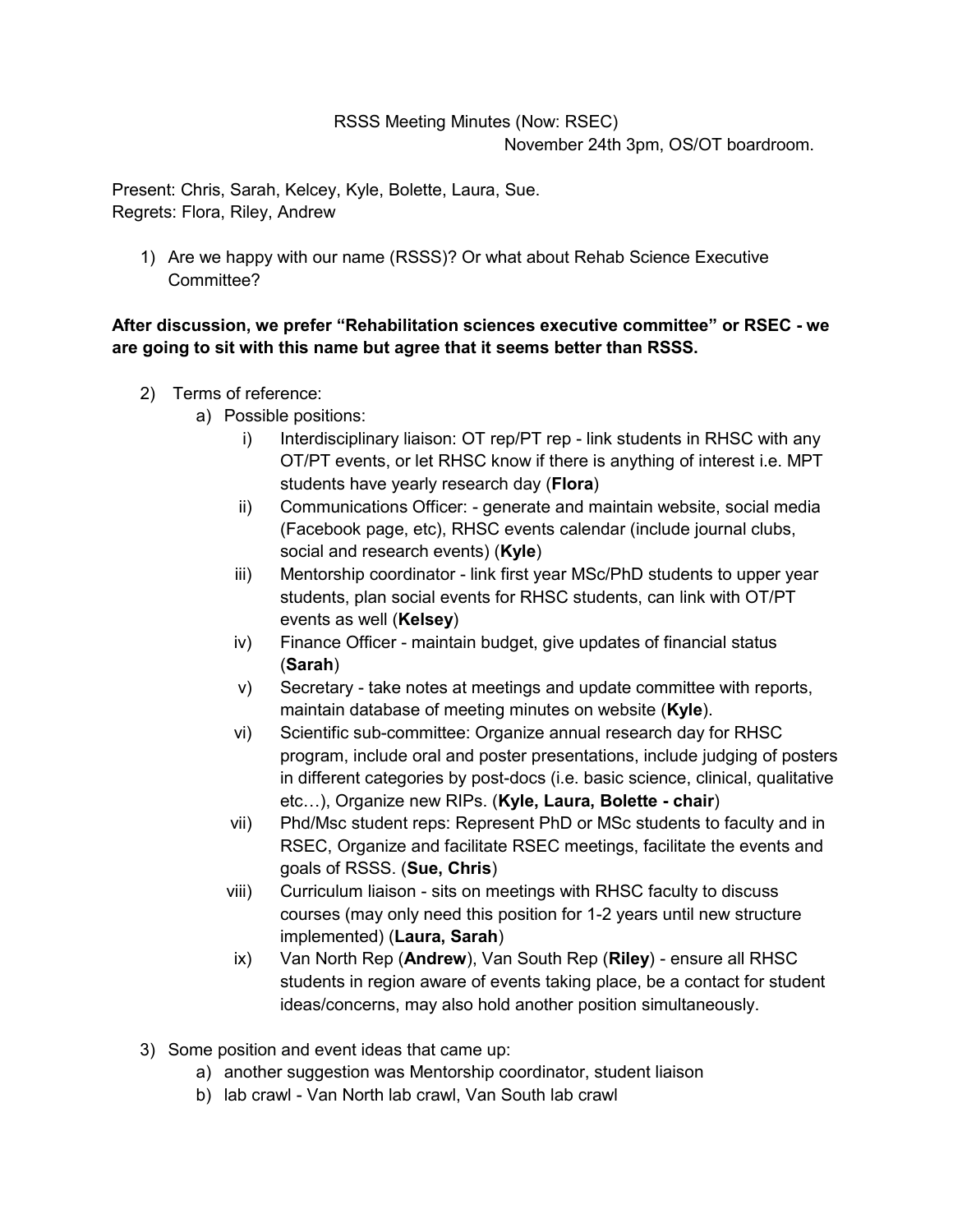## RSSS Meeting Minutes (Now: RSEC) November 24th 3pm, OS/OT boardroom.

Present: Chris, Sarah, Kelcey, Kyle, Bolette, Laura, Sue. Regrets: Flora, Riley, Andrew

1) Are we happy with our name (RSSS)? Or what about Rehab Science Executive Committee?

## **After discussion, we prefer "Rehabilitation sciences executive committee" or RSEC - we are going to sit with this name but agree that it seems better than RSSS.**

- 2) Terms of reference:
	- a) Possible positions:
		- i) Interdisciplinary liaison: OT rep/PT rep link students in RHSC with any OT/PT events, or let RHSC know if there is anything of interest i.e. MPT students have yearly research day (**Flora**)
		- ii) Communications Officer: generate and maintain website, social media (Facebook page, etc), RHSC events calendar (include journal clubs, social and research events) (**Kyle**)
		- iii) Mentorship coordinator link first year MSc/PhD students to upper year students, plan social events for RHSC students, can link with OT/PT events as well (**Kelsey**)
		- iv) Finance Officer maintain budget, give updates of financial status (**Sarah**)
		- v) Secretary take notes at meetings and update committee with reports, maintain database of meeting minutes on website (**Kyle**).
		- vi) Scientific sub-committee: Organize annual research day for RHSC program, include oral and poster presentations, include judging of posters in different categories by post-docs (i.e. basic science, clinical, qualitative etc…), Organize new RIPs. (**Kyle, Laura, Bolette - chair**)
		- vii) Phd/Msc student reps: Represent PhD or MSc students to faculty and in RSEC, Organize and facilitate RSEC meetings, facilitate the events and goals of RSSS. (**Sue, Chris**)
		- viii) Curriculum liaison sits on meetings with RHSC faculty to discuss courses (may only need this position for 1-2 years until new structure implemented) (**Laura, Sarah**)
		- ix) Van North Rep (**Andrew**), Van South Rep (**Riley**) ensure all RHSC students in region aware of events taking place, be a contact for student ideas/concerns, may also hold another position simultaneously.
- 3) Some position and event ideas that came up:
	- a) another suggestion was Mentorship coordinator, student liaison
	- b) lab crawl Van North lab crawl, Van South lab crawl